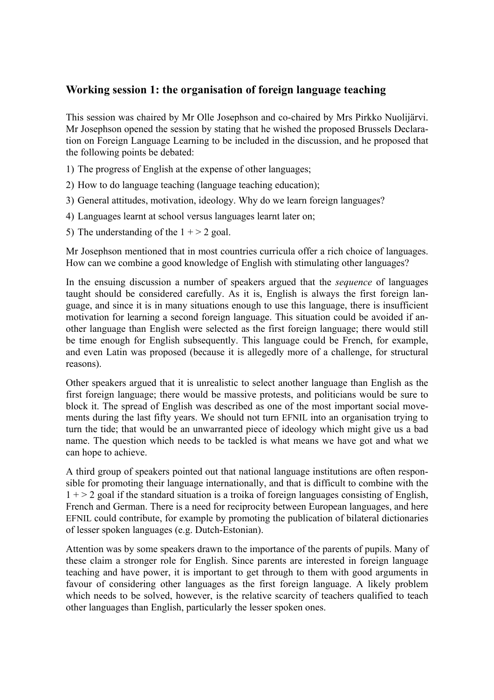## **Working session 1: the organisation of foreign language teaching**

This session was chaired by Mr Olle Josephson and co-chaired by Mrs Pirkko Nuolijärvi. Mr Josephson opened the session by stating that he wished the proposed Brussels Declaration on Foreign Language Learning to be included in the discussion, and he proposed that the following points be debated:

- 1) The progress of English at the expense of other languages;
- 2) How to do language teaching (language teaching education);
- 3) General attitudes, motivation, ideology. Why do we learn foreign languages?
- 4) Languages learnt at school versus languages learnt later on;
- 5) The understanding of the  $1 + > 2$  goal.

Mr Josephson mentioned that in most countries curricula offer a rich choice of languages. How can we combine a good knowledge of English with stimulating other languages?

In the ensuing discussion a number of speakers argued that the *sequence* of languages taught should be considered carefully. As it is, English is always the first foreign language, and since it is in many situations enough to use this language, there is insufficient motivation for learning a second foreign language. This situation could be avoided if another language than English were selected as the first foreign language; there would still be time enough for English subsequently. This language could be French, for example, and even Latin was proposed (because it is allegedly more of a challenge, for structural reasons).

Other speakers argued that it is unrealistic to select another language than English as the first foreign language; there would be massive protests, and politicians would be sure to block it. The spread of English was described as one of the most important social movements during the last fifty years. We should not turn EFNIL into an organisation trying to turn the tide; that would be an unwarranted piece of ideology which might give us a bad name. The question which needs to be tackled is what means we have got and what we can hope to achieve.

A third group of speakers pointed out that national language institutions are often responsible for promoting their language internationally, and that is difficult to combine with the  $1 + > 2$  goal if the standard situation is a troika of foreign languages consisting of English, French and German. There is a need for reciprocity between European languages, and here EFNIL could contribute, for example by promoting the publication of bilateral dictionaries of lesser spoken languages (e.g. Dutch-Estonian).

Attention was by some speakers drawn to the importance of the parents of pupils. Many of these claim a stronger role for English. Since parents are interested in foreign language teaching and have power, it is important to get through to them with good arguments in favour of considering other languages as the first foreign language. A likely problem which needs to be solved, however, is the relative scarcity of teachers qualified to teach other languages than English, particularly the lesser spoken ones.